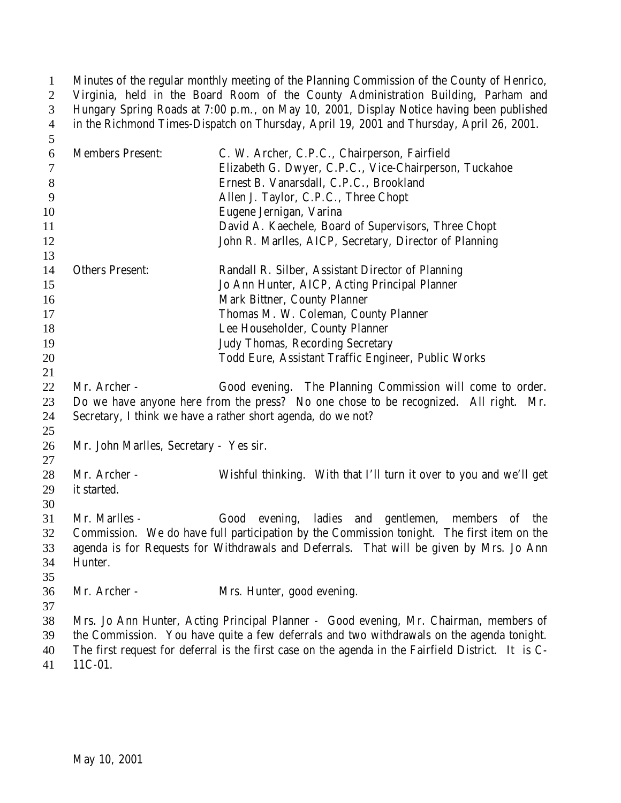| $\mathbf{1}$   | Minutes of the regular monthly meeting of the Planning Commission of the County of Henrico, |                                                                                                    |
|----------------|---------------------------------------------------------------------------------------------|----------------------------------------------------------------------------------------------------|
| $\overline{2}$ | Virginia, held in the Board Room of the County Administration Building, Parham and          |                                                                                                    |
| 3              | Hungary Spring Roads at 7:00 p.m., on May 10, 2001, Display Notice having been published    |                                                                                                    |
| $\overline{4}$ | in the Richmond Times-Dispatch on Thursday, April 19, 2001 and Thursday, April 26, 2001.    |                                                                                                    |
| 5              |                                                                                             |                                                                                                    |
| 6              | <b>Members Present:</b>                                                                     | C. W. Archer, C.P.C., Chairperson, Fairfield                                                       |
| 7              |                                                                                             | Elizabeth G. Dwyer, C.P.C., Vice-Chairperson, Tuckahoe                                             |
| 8              |                                                                                             | Ernest B. Vanarsdall, C.P.C., Brookland                                                            |
| 9              |                                                                                             | Allen J. Taylor, C.P.C., Three Chopt                                                               |
| 10             |                                                                                             | Eugene Jernigan, Varina                                                                            |
| 11             |                                                                                             | David A. Kaechele, Board of Supervisors, Three Chopt                                               |
| 12             |                                                                                             | John R. Marlles, AICP, Secretary, Director of Planning                                             |
| 13             |                                                                                             |                                                                                                    |
| 14             | <b>Others Present:</b>                                                                      | Randall R. Silber, Assistant Director of Planning                                                  |
| 15             |                                                                                             | Jo Ann Hunter, AICP, Acting Principal Planner                                                      |
| 16             |                                                                                             | Mark Bittner, County Planner                                                                       |
| 17             |                                                                                             | Thomas M. W. Coleman, County Planner                                                               |
| 18             |                                                                                             | Lee Householder, County Planner                                                                    |
| 19             |                                                                                             | Judy Thomas, Recording Secretary                                                                   |
| 20             |                                                                                             | Todd Eure, Assistant Traffic Engineer, Public Works                                                |
| 21             |                                                                                             |                                                                                                    |
| 22             | Mr. Archer -                                                                                | Good evening. The Planning Commission will come to order.                                          |
| 23             |                                                                                             | Do we have anyone here from the press? No one chose to be recognized. All right. Mr.               |
| 24             |                                                                                             | Secretary, I think we have a rather short agenda, do we not?                                       |
| 25             |                                                                                             |                                                                                                    |
| 26             | Mr. John Marlles, Secretary - Yes sir.                                                      |                                                                                                    |
| 27             |                                                                                             |                                                                                                    |
| 28             | Mr. Archer -                                                                                | Wishful thinking. With that I'll turn it over to you and we'll get                                 |
| 29             | it started.                                                                                 |                                                                                                    |
| 30             |                                                                                             |                                                                                                    |
| 31             | Mr. Marlles -                                                                               | Good evening, ladies and gentlemen, members of the                                                 |
| 32             |                                                                                             | Commission. We do have full participation by the Commission tonight. The first item on the         |
| 33             | agenda is for Requests for Withdrawals and Deferrals. That will be given by Mrs. Jo Ann     |                                                                                                    |
| 34             | Hunter.                                                                                     |                                                                                                    |
| 35             |                                                                                             |                                                                                                    |
| 36             | Mr. Archer -                                                                                | Mrs. Hunter, good evening.                                                                         |
| 37             |                                                                                             |                                                                                                    |
| 38             |                                                                                             | Mrs. Jo Ann Hunter, Acting Principal Planner - Good evening, Mr. Chairman, members of              |
| 39             |                                                                                             | the Commission. You have quite a few deferrals and two withdrawals on the agenda tonight.          |
| 40             |                                                                                             | The first request for deferral is the first case on the agenda in the Fairfield District. It is C- |
| 41             | 11C-01.                                                                                     |                                                                                                    |
|                |                                                                                             |                                                                                                    |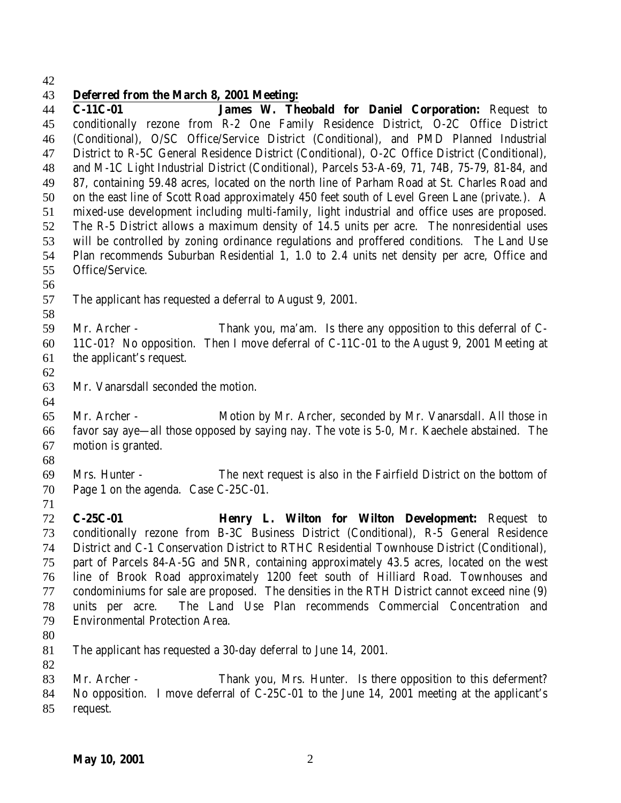## **Deferred from the March 8, 2001 Meeting:**

 **C-11C-01 James W. Theobald for Daniel Corporation:** Request to conditionally rezone from R-2 One Family Residence District, O-2C Office District (Conditional), O/SC Office/Service District (Conditional), and PMD Planned Industrial District to R-5C General Residence District (Conditional), O-2C Office District (Conditional), and M-1C Light Industrial District (Conditional), Parcels 53-A-69, 71, 74B, 75-79, 81-84, and 87, containing 59.48 acres, located on the north line of Parham Road at St. Charles Road and on the east line of Scott Road approximately 450 feet south of Level Green Lane (private.). A mixed-use development including multi-family, light industrial and office uses are proposed. The R-5 District allows a maximum density of 14.5 units per acre. The nonresidential uses will be controlled by zoning ordinance regulations and proffered conditions. The Land Use Plan recommends Suburban Residential 1, 1.0 to 2.4 units net density per acre, Office and Office/Service. The applicant has requested a deferral to August 9, 2001. Mr. Archer - Thank you, ma'am. Is there any opposition to this deferral of C- 11C-01? No opposition. Then I move deferral of C-11C-01 to the August 9, 2001 Meeting at the applicant's request. Mr. Vanarsdall seconded the motion. Mr. Archer - Motion by Mr. Archer, seconded by Mr. Vanarsdall. All those in favor say aye—all those opposed by saying nay. The vote is 5-0, Mr. Kaechele abstained. The motion is granted. Mrs. Hunter - The next request is also in the Fairfield District on the bottom of Page 1 on the agenda. Case C-25C-01. **C-25C-01 Henry L. Wilton for Wilton Development:** Request to conditionally rezone from B-3C Business District (Conditional), R-5 General Residence District and C-1 Conservation District to RTHC Residential Townhouse District (Conditional), part of Parcels 84-A-5G and 5NR, containing approximately 43.5 acres, located on the west line of Brook Road approximately 1200 feet south of Hilliard Road. Townhouses and condominiums for sale are proposed. The densities in the RTH District cannot exceed nine (9) units per acre. The Land Use Plan recommends Commercial Concentration and Environmental Protection Area. The applicant has requested a 30-day deferral to June 14, 2001. Mr. Archer - Thank you, Mrs. Hunter. Is there opposition to this deferment? No opposition. I move deferral of C-25C-01 to the June 14, 2001 meeting at the applicant's request.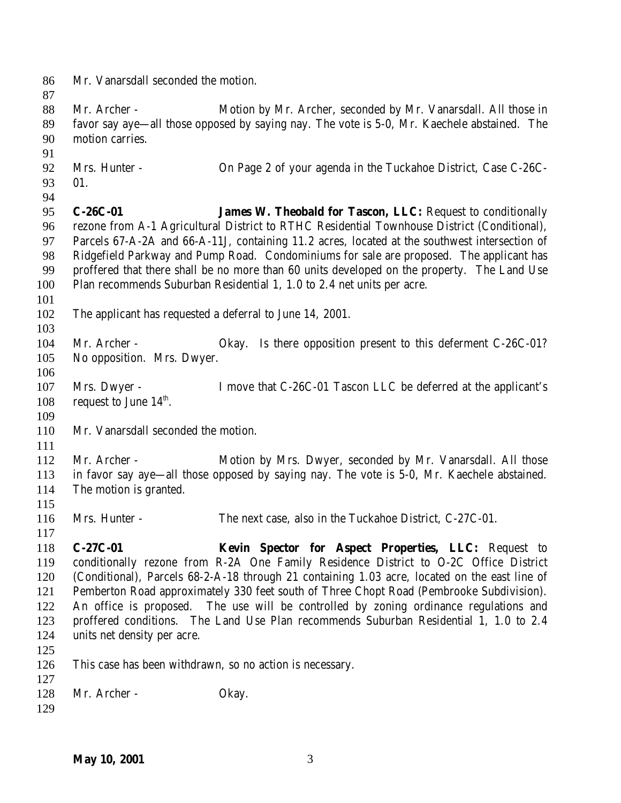Mr. Vanarsdall seconded the motion. Mr. Archer - Motion by Mr. Archer, seconded by Mr. Vanarsdall. All those in favor say aye—all those opposed by saying nay. The vote is 5-0, Mr. Kaechele abstained. The motion carries. Mrs. Hunter - On Page 2 of your agenda in the Tuckahoe District, Case C-26C- 01. **C-26C-01 James W. Theobald for Tascon, LLC:** Request to conditionally rezone from A-1 Agricultural District to RTHC Residential Townhouse District (Conditional), Parcels 67-A-2A and 66-A-11J, containing 11.2 acres, located at the southwest intersection of Ridgefield Parkway and Pump Road. Condominiums for sale are proposed. The applicant has proffered that there shall be no more than 60 units developed on the property. The Land Use Plan recommends Suburban Residential 1, 1.0 to 2.4 net units per acre. The applicant has requested a deferral to June 14, 2001. 104 Mr. Archer - Okay. Is there opposition present to this deferment C-26C-01? No opposition. Mrs. Dwyer. Mrs. Dwyer - I move that C-26C-01 Tascon LLC be deferred at the applicant's 108 request to June  $14<sup>th</sup>$ . Mr. Vanarsdall seconded the motion. Mr. Archer - Motion by Mrs. Dwyer, seconded by Mr. Vanarsdall. All those in favor say aye—all those opposed by saying nay. The vote is 5-0, Mr. Kaechele abstained. The motion is granted. Mrs. Hunter - The next case, also in the Tuckahoe District, C-27C-01. **C-27C-01 Kevin Spector for Aspect Properties, LLC:** Request to conditionally rezone from R-2A One Family Residence District to O-2C Office District (Conditional), Parcels 68-2-A-18 through 21 containing 1.03 acre, located on the east line of Pemberton Road approximately 330 feet south of Three Chopt Road (Pembrooke Subdivision). An office is proposed. The use will be controlled by zoning ordinance regulations and proffered conditions. The Land Use Plan recommends Suburban Residential 1, 1.0 to 2.4 units net density per acre. This case has been withdrawn, so no action is necessary. 128 Mr. Archer - Okay.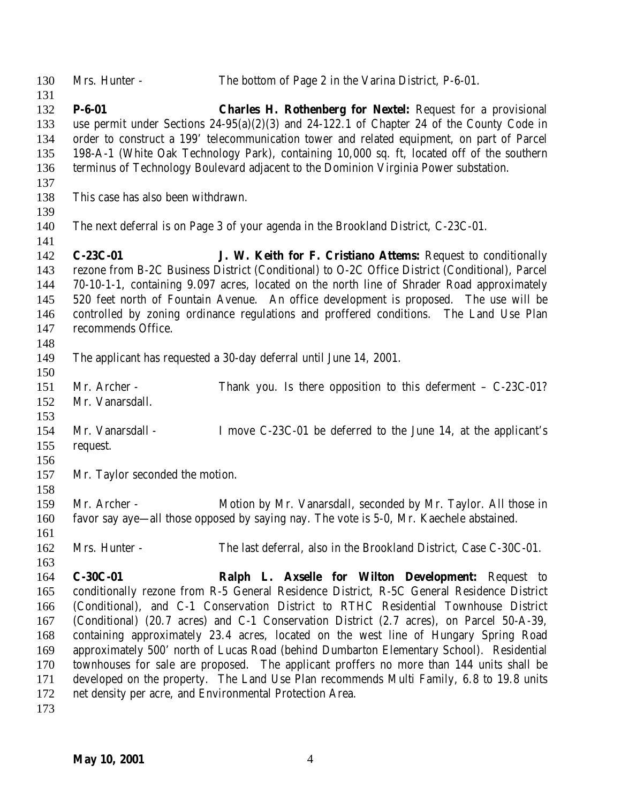Mrs. Hunter - The bottom of Page 2 in the Varina District, P-6-01. **P-6-01 Charles H. Rothenberg for Nextel:** Request for a provisional use permit under Sections 24-95(a)(2)(3) and 24-122.1 of Chapter 24 of the County Code in order to construct a 199' telecommunication tower and related equipment, on part of Parcel 198-A-1 (White Oak Technology Park), containing 10,000 sq. ft, located off of the southern terminus of Technology Boulevard adjacent to the Dominion Virginia Power substation. This case has also been withdrawn. The next deferral is on Page 3 of your agenda in the Brookland District, C-23C-01. **C-23C-01 J. W. Keith for F. Cristiano Attems:** Request to conditionally rezone from B-2C Business District (Conditional) to O-2C Office District (Conditional), Parcel 70-10-1-1, containing 9.097 acres, located on the north line of Shrader Road approximately 520 feet north of Fountain Avenue. An office development is proposed. The use will be controlled by zoning ordinance regulations and proffered conditions. The Land Use Plan recommends Office. The applicant has requested a 30-day deferral until June 14, 2001. Mr. Archer - Thank you. Is there opposition to this deferment – C-23C-01? Mr. Vanarsdall. Mr. Vanarsdall - I move C-23C-01 be deferred to the June 14, at the applicant's request. Mr. Taylor seconded the motion. Mr. Archer - Motion by Mr. Vanarsdall, seconded by Mr. Taylor. All those in favor say aye—all those opposed by saying nay. The vote is 5-0, Mr. Kaechele abstained. Mrs. Hunter - The last deferral, also in the Brookland District, Case C-30C-01. **C-30C-01 Ralph L. Axselle for Wilton Development:** Request to conditionally rezone from R-5 General Residence District, R-5C General Residence District (Conditional), and C-1 Conservation District to RTHC Residential Townhouse District (Conditional) (20.7 acres) and C-1 Conservation District (2.7 acres), on Parcel 50-A-39, containing approximately 23.4 acres, located on the west line of Hungary Spring Road approximately 500' north of Lucas Road (behind Dumbarton Elementary School). Residential townhouses for sale are proposed. The applicant proffers no more than 144 units shall be developed on the property. The Land Use Plan recommends Multi Family, 6.8 to 19.8 units net density per acre, and Environmental Protection Area.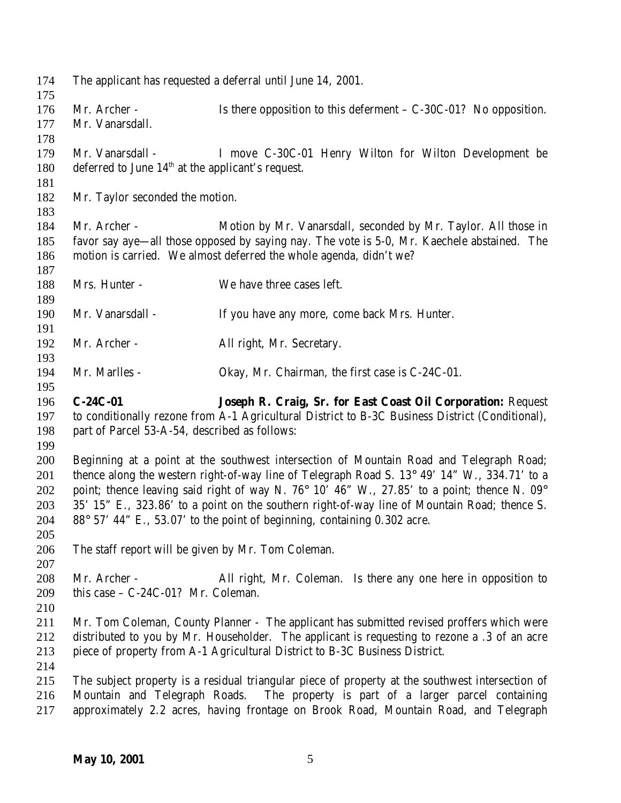The applicant has requested a deferral until June 14, 2001. 176 Mr. Archer - Is there opposition to this deferment – C-30C-01? No opposition. Mr. Vanarsdall. Mr. Vanarsdall - I move C-30C-01 Henry Wilton for Wilton Development be 180 deferred to June  $14<sup>th</sup>$  at the applicant's request. Mr. Taylor seconded the motion. Mr. Archer - Motion by Mr. Vanarsdall, seconded by Mr. Taylor. All those in favor say aye—all those opposed by saying nay. The vote is 5-0, Mr. Kaechele abstained. The motion is carried. We almost deferred the whole agenda, didn't we? Mrs. Hunter - We have three cases left. Mr. Vanarsdall - If you have any more, come back Mrs. Hunter. 192 Mr. Archer - All right, Mr. Secretary. Mr. Marlles - Okay, Mr. Chairman, the first case is C-24C-01. **C-24C-01 Joseph R. Craig, Sr. for East Coast Oil Corporation:** Request to conditionally rezone from A-1 Agricultural District to B-3C Business District (Conditional), part of Parcel 53-A-54, described as follows: Beginning at a point at the southwest intersection of Mountain Road and Telegraph Road; 201 thence along the western right-of-way line of Telegraph Road S. 13° 49' 14" W., 334.71' to a 202 point; thence leaving said right of way N. 76 $^{\circ}$  10' 46" W., 27.85' to a point; thence N. 09 $^{\circ}$  35' 15" E., 323.86' to a point on the southern right-of-way line of Mountain Road; thence S. 88° 57' 44" E., 53.07' to the point of beginning, containing 0.302 acre. The staff report will be given by Mr. Tom Coleman. Mr. Archer - All right, Mr. Coleman. Is there any one here in opposition to this case – C-24C-01? Mr. Coleman. Mr. Tom Coleman, County Planner - The applicant has submitted revised proffers which were distributed to you by Mr. Householder. The applicant is requesting to rezone a .3 of an acre piece of property from A-1 Agricultural District to B-3C Business District. The subject property is a residual triangular piece of property at the southwest intersection of Mountain and Telegraph Roads. The property is part of a larger parcel containing approximately 2.2 acres, having frontage on Brook Road, Mountain Road, and Telegraph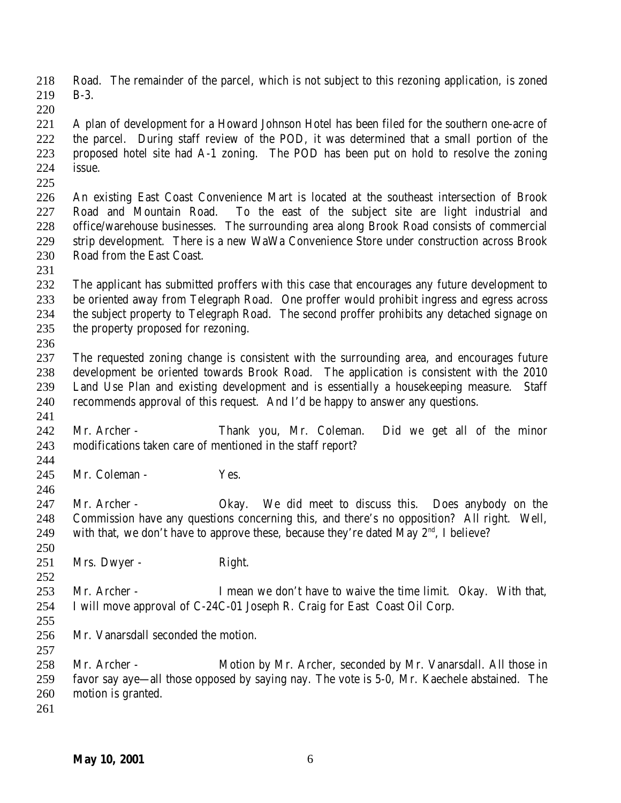Road. The remainder of the parcel, which is not subject to this rezoning application, is zoned B-3.

 A plan of development for a Howard Johnson Hotel has been filed for the southern one-acre of the parcel. During staff review of the POD, it was determined that a small portion of the proposed hotel site had A-1 zoning. The POD has been put on hold to resolve the zoning issue.

 An existing East Coast Convenience Mart is located at the southeast intersection of Brook Road and Mountain Road. To the east of the subject site are light industrial and office/warehouse businesses. The surrounding area along Brook Road consists of commercial strip development. There is a new WaWa Convenience Store under construction across Brook Road from the East Coast.

 The applicant has submitted proffers with this case that encourages any future development to be oriented away from Telegraph Road. One proffer would prohibit ingress and egress across the subject property to Telegraph Road. The second proffer prohibits any detached signage on the property proposed for rezoning.

 The requested zoning change is consistent with the surrounding area, and encourages future development be oriented towards Brook Road. The application is consistent with the 2010 Land Use Plan and existing development and is essentially a housekeeping measure. Staff recommends approval of this request. And I'd be happy to answer any questions.

 Mr. Archer - Thank you, Mr. Coleman. Did we get all of the minor modifications taken care of mentioned in the staff report?

 245 Mr. Coleman - Yes.

 Mr. Archer - Okay. We did meet to discuss this. Does anybody on the Commission have any questions concerning this, and there's no opposition? All right. Well, 249 with that, we don't have to approve these, because they're dated May  $2<sup>nd</sup>$ , I believe? 

- 251 Mrs. Dwyer Right.
- Mr. Archer I mean we don't have to waive the time limit. Okay. With that, I will move approval of C-24C-01 Joseph R. Craig for East Coast Oil Corp.
- 

Mr. Vanarsdall seconded the motion.

 Mr. Archer - Motion by Mr. Archer, seconded by Mr. Vanarsdall. All those in favor say aye—all those opposed by saying nay. The vote is 5-0, Mr. Kaechele abstained. The motion is granted.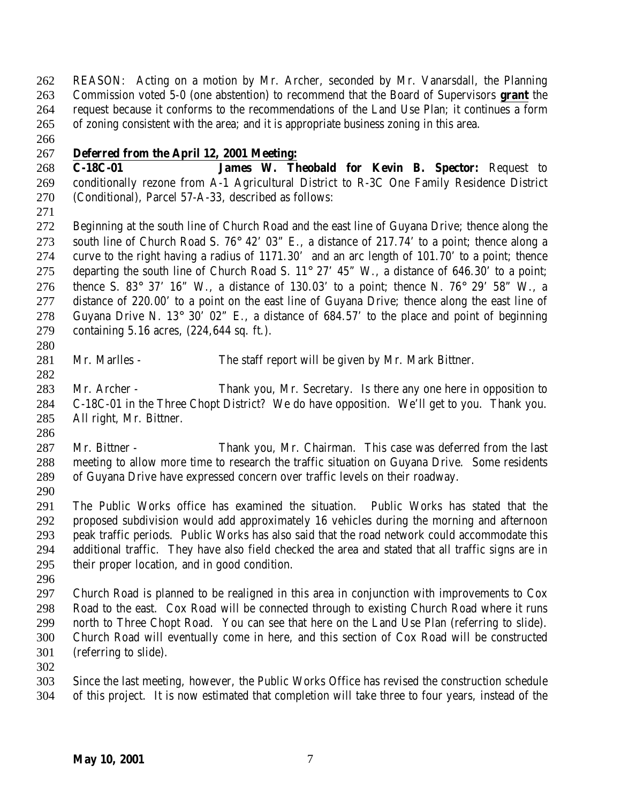REASON: Acting on a motion by Mr. Archer, seconded by Mr. Vanarsdall, the Planning Commission voted 5-0 (one abstention) to recommend that the Board of Supervisors **grant** the request because it conforms to the recommendations of the Land Use Plan; it continues a form of zoning consistent with the area; and it is appropriate business zoning in this area.

## **Deferred from the April 12, 2001 Meeting:**

 **C-18C-01 James W. Theobald for Kevin B. Spector:** Request to conditionally rezone from A-1 Agricultural District to R-3C One Family Residence District (Conditional), Parcel 57-A-33, described as follows:

 Beginning at the south line of Church Road and the east line of Guyana Drive; thence along the south line of Church Road S. 76° 42' 03" E., a distance of 217.74' to a point; thence along a curve to the right having a radius of 1171.30' and an arc length of 101.70' to a point; thence 275 departing the south line of Church Road S.  $11^{\circ}$  27' 45" W., a distance of 646.30' to a point; 276 thence S. 83° 37' 16" W., a distance of 130.03' to a point; thence N. 76° 29' 58" W., a distance of 220.00' to a point on the east line of Guyana Drive; thence along the east line of 278 Guyana Drive N. 13° 30' 02" E., a distance of  $684.57'$  to the place and point of beginning containing 5.16 acres, (224,644 sq. ft.).

- 
- Mr. Marlles The staff report will be given by Mr. Mark Bittner.

 Mr. Archer - Thank you, Mr. Secretary. Is there any one here in opposition to C-18C-01 in the Three Chopt District? We do have opposition. We'll get to you. Thank you. All right, Mr. Bittner.

- Mr. Bittner Thank you, Mr. Chairman. This case was deferred from the last meeting to allow more time to research the traffic situation on Guyana Drive. Some residents of Guyana Drive have expressed concern over traffic levels on their roadway.
- 

 The Public Works office has examined the situation. Public Works has stated that the proposed subdivision would add approximately 16 vehicles during the morning and afternoon peak traffic periods. Public Works has also said that the road network could accommodate this additional traffic. They have also field checked the area and stated that all traffic signs are in their proper location, and in good condition.

 Church Road is planned to be realigned in this area in conjunction with improvements to Cox Road to the east. Cox Road will be connected through to existing Church Road where it runs north to Three Chopt Road. You can see that here on the Land Use Plan (referring to slide). Church Road will eventually come in here, and this section of Cox Road will be constructed (referring to slide).

 Since the last meeting, however, the Public Works Office has revised the construction schedule of this project. It is now estimated that completion will take three to four years, instead of the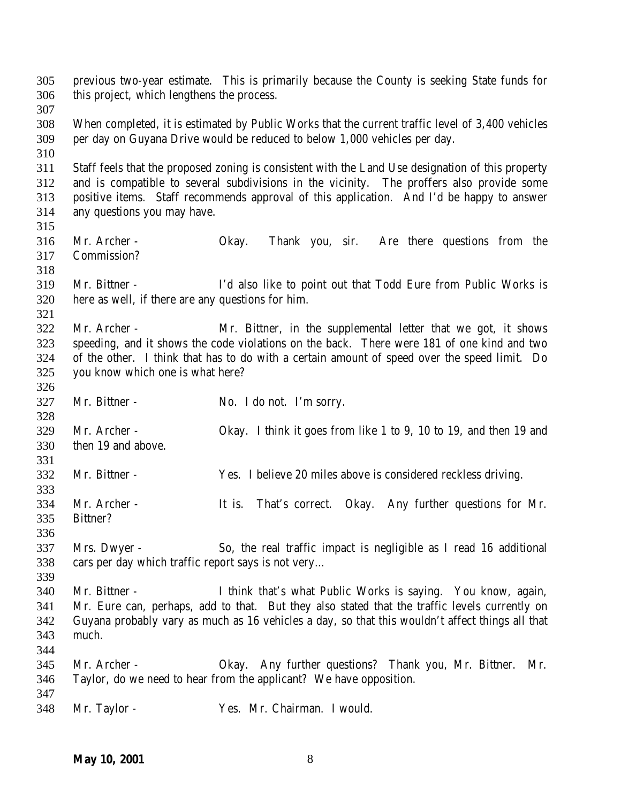| 305<br>306 | this project, which lengthens the process.         | previous two-year estimate. This is primarily because the County is seeking State funds for       |
|------------|----------------------------------------------------|---------------------------------------------------------------------------------------------------|
| 307        |                                                    |                                                                                                   |
| 308        |                                                    | When completed, it is estimated by Public Works that the current traffic level of 3,400 vehicles  |
| 309        |                                                    | per day on Guyana Drive would be reduced to below 1,000 vehicles per day.                         |
| 310        |                                                    |                                                                                                   |
| 311        |                                                    | Staff feels that the proposed zoning is consistent with the Land Use designation of this property |
| 312        |                                                    | and is compatible to several subdivisions in the vicinity. The proffers also provide some         |
| 313        |                                                    | positive items. Staff recommends approval of this application. And I'd be happy to answer         |
| 314        | any questions you may have.                        |                                                                                                   |
| 315        |                                                    |                                                                                                   |
| 316        | Mr. Archer -                                       | Thank you, sir.<br>Are there questions from the<br>Okay.                                          |
| 317        | Commission?                                        |                                                                                                   |
| 318        |                                                    |                                                                                                   |
| 319        | Mr. Bittner -                                      | I'd also like to point out that Todd Eure from Public Works is                                    |
| 320        | here as well, if there are any questions for him.  |                                                                                                   |
| 321        |                                                    |                                                                                                   |
| 322        | Mr. Archer -                                       | Mr. Bittner, in the supplemental letter that we got, it shows                                     |
| 323        |                                                    | speeding, and it shows the code violations on the back. There were 181 of one kind and two        |
| 324        |                                                    | of the other. I think that has to do with a certain amount of speed over the speed limit. Do      |
| 325        | you know which one is what here?                   |                                                                                                   |
| 326        |                                                    |                                                                                                   |
|            |                                                    |                                                                                                   |
| 327        | Mr. Bittner -                                      | No. I do not. I'm sorry.                                                                          |
| 328        |                                                    |                                                                                                   |
| 329        | Mr. Archer -                                       | Okay. I think it goes from like 1 to 9, 10 to 19, and then 19 and                                 |
| 330        | then 19 and above.                                 |                                                                                                   |
| 331        |                                                    |                                                                                                   |
| 332        | Mr. Bittner -                                      | Yes. I believe 20 miles above is considered reckless driving.                                     |
| 333        |                                                    |                                                                                                   |
| 334        | Mr. Archer -                                       | It is. That's correct. Okay. Any further questions for Mr.                                        |
| 335        | Bittner?                                           |                                                                                                   |
| 336        |                                                    |                                                                                                   |
| 337        | Mrs. Dwyer -                                       | So, the real traffic impact is negligible as I read 16 additional                                 |
| 338        | cars per day which traffic report says is not very |                                                                                                   |
| 339        |                                                    |                                                                                                   |
| 340        | Mr. Bittner -                                      | I think that's what Public Works is saying. You know, again,                                      |
| 341        |                                                    | Mr. Eure can, perhaps, add to that. But they also stated that the traffic levels currently on     |
| 342        |                                                    | Guyana probably vary as much as 16 vehicles a day, so that this wouldn't affect things all that   |
| 343        | much.                                              |                                                                                                   |
| 344        |                                                    |                                                                                                   |
| 345        | Mr. Archer -                                       | Okay. Any further questions? Thank you, Mr. Bittner.<br>Mr.                                       |
| 346        |                                                    | Taylor, do we need to hear from the applicant? We have opposition.                                |
| 347        |                                                    |                                                                                                   |
| 348        | Mr. Taylor -                                       | Yes. Mr. Chairman. I would.                                                                       |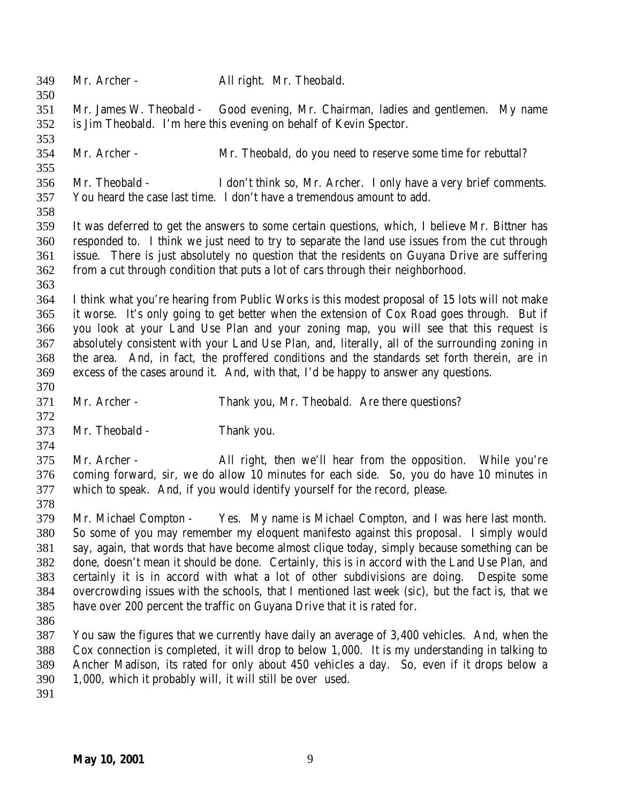| 349<br>350                                                  | Mr. Archer -          | All right. Mr. Theobald.                                                                                                                                                                                                                                                                                                                                                                                                                                                                                                                                                                                                           |
|-------------------------------------------------------------|-----------------------|------------------------------------------------------------------------------------------------------------------------------------------------------------------------------------------------------------------------------------------------------------------------------------------------------------------------------------------------------------------------------------------------------------------------------------------------------------------------------------------------------------------------------------------------------------------------------------------------------------------------------------|
| 351<br>352                                                  |                       | Mr. James W. Theobald - Good evening, Mr. Chairman, ladies and gentlemen. My name<br>is Jim Theobald. I'm here this evening on behalf of Kevin Spector.                                                                                                                                                                                                                                                                                                                                                                                                                                                                            |
| 353<br>354<br>355                                           | Mr. Archer -          | Mr. Theobald, do you need to reserve some time for rebuttal?                                                                                                                                                                                                                                                                                                                                                                                                                                                                                                                                                                       |
| 356<br>357                                                  | Mr. Theobald -        | I don't think so, Mr. Archer. I only have a very brief comments.<br>You heard the case last time. I don't have a tremendous amount to add.                                                                                                                                                                                                                                                                                                                                                                                                                                                                                         |
| 358<br>359<br>360<br>361                                    |                       | It was deferred to get the answers to some certain questions, which, I believe Mr. Bittner has<br>responded to. I think we just need to try to separate the land use issues from the cut through<br>issue. There is just absolutely no question that the residents on Guyana Drive are suffering                                                                                                                                                                                                                                                                                                                                   |
| 362<br>363                                                  |                       | from a cut through condition that puts a lot of cars through their neighborhood.                                                                                                                                                                                                                                                                                                                                                                                                                                                                                                                                                   |
| 364<br>365<br>366<br>367<br>368<br>369                      |                       | I think what you're hearing from Public Works is this modest proposal of 15 lots will not make<br>it worse. It's only going to get better when the extension of Cox Road goes through. But if<br>you look at your Land Use Plan and your zoning map, you will see that this request is<br>absolutely consistent with your Land Use Plan, and, literally, all of the surrounding zoning in<br>the area. And, in fact, the proffered conditions and the standards set forth therein, are in<br>excess of the cases around it. And, with that, I'd be happy to answer any questions.                                                  |
| 370                                                         |                       |                                                                                                                                                                                                                                                                                                                                                                                                                                                                                                                                                                                                                                    |
| 371                                                         | Mr. Archer -          | Thank you, Mr. Theobald. Are there questions?                                                                                                                                                                                                                                                                                                                                                                                                                                                                                                                                                                                      |
| 372<br>373                                                  | Mr. Theobald -        | Thank you.                                                                                                                                                                                                                                                                                                                                                                                                                                                                                                                                                                                                                         |
| 374<br>375<br>376<br>377                                    | Mr. Archer -          | All right, then we'll hear from the opposition. While you're<br>coming forward, sir, we do allow 10 minutes for each side. So, you do have 10 minutes in<br>which to speak. And, if you would identify yourself for the record, please.                                                                                                                                                                                                                                                                                                                                                                                            |
| 378<br>379<br>380<br>381<br>382<br>383<br>384<br>385<br>386 | Mr. Michael Compton - | Yes. My name is Michael Compton, and I was here last month.<br>So some of you may remember my eloquent manifesto against this proposal. I simply would<br>say, again, that words that have become almost clique today, simply because something can be<br>done, doesn't mean it should be done. Certainly, this is in accord with the Land Use Plan, and<br>certainly it is in accord with what a lot of other subdivisions are doing. Despite some<br>overcrowding issues with the schools, that I mentioned last week (sic), but the fact is, that we<br>have over 200 percent the traffic on Guyana Drive that it is rated for. |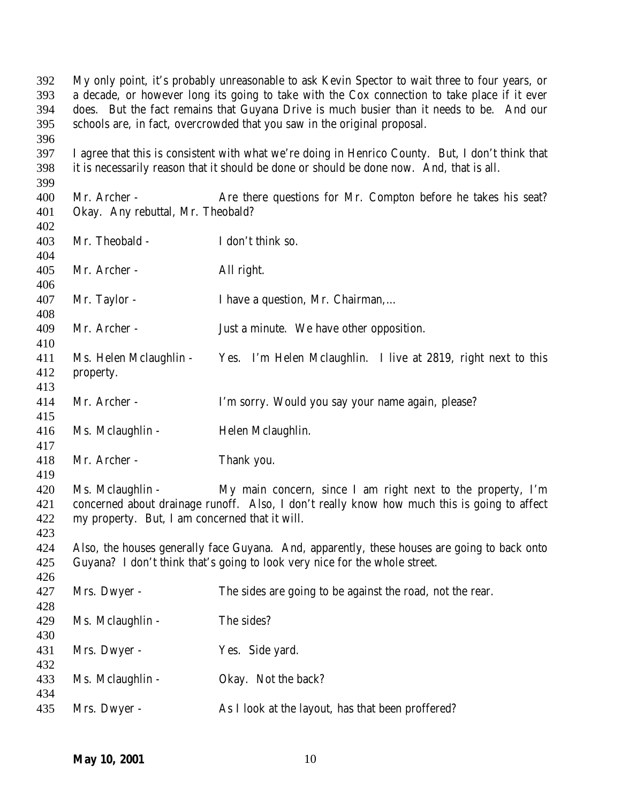My only point, it's probably unreasonable to ask Kevin Spector to wait three to four years, or a decade, or however long its going to take with the Cox connection to take place if it ever does. But the fact remains that Guyana Drive is much busier than it needs to be. And our schools are, in fact, overcrowded that you saw in the original proposal. 

 I agree that this is consistent with what we're doing in Henrico County. But, I don't think that it is necessarily reason that it should be done or should be done now. And, that is all. 

400 Mr. Archer - Are there questions for Mr. Compton before he takes his seat? Okay. Any rebuttal, Mr. Theobald?

| 403<br>404               | Mr. Theobald -                                                                                                                                                                                                                   | I don't think so.                                                                                                                                                          |
|--------------------------|----------------------------------------------------------------------------------------------------------------------------------------------------------------------------------------------------------------------------------|----------------------------------------------------------------------------------------------------------------------------------------------------------------------------|
| 405                      | Mr. Archer -                                                                                                                                                                                                                     | All right.                                                                                                                                                                 |
| 406                      |                                                                                                                                                                                                                                  |                                                                                                                                                                            |
| 407<br>408               | Mr. Taylor -                                                                                                                                                                                                                     | I have a question, Mr. Chairman,                                                                                                                                           |
| 409<br>410               | Mr. Archer -                                                                                                                                                                                                                     | Just a minute. We have other opposition.                                                                                                                                   |
| 411<br>412<br>413        | Ms. Helen Mclaughlin -<br>property.                                                                                                                                                                                              | Yes. I'm Helen Mclaughlin. I live at 2819, right next to this                                                                                                              |
| 414<br>415               | Mr. Archer -                                                                                                                                                                                                                     | I'm sorry. Would you say your name again, please?                                                                                                                          |
| 416<br>417               | Ms. Mclaughlin -                                                                                                                                                                                                                 | Helen Mclaughlin.                                                                                                                                                          |
| 418<br>419               | Mr. Archer -                                                                                                                                                                                                                     | Thank you.                                                                                                                                                                 |
| 420<br>421<br>422<br>423 | Ms. Mclaughlin -<br>My main concern, since I am right next to the property, I'm<br>concerned about drainage runoff. Also, I don't really know how much this is going to affect<br>my property. But, I am concerned that it will. |                                                                                                                                                                            |
| 424<br>425<br>426        |                                                                                                                                                                                                                                  | Also, the houses generally face Guyana. And, apparently, these houses are going to back onto<br>Guyana? I don't think that's going to look very nice for the whole street. |
| 427<br>428               | Mrs. Dwyer -                                                                                                                                                                                                                     | The sides are going to be against the road, not the rear.                                                                                                                  |
| 429<br>430               | Ms. Mclaughlin -                                                                                                                                                                                                                 | The sides?                                                                                                                                                                 |
| 431<br>432               | Mrs. Dwyer -                                                                                                                                                                                                                     | Yes. Side yard.                                                                                                                                                            |
| 433<br>434               | Ms. Mclaughlin -                                                                                                                                                                                                                 | Okay. Not the back?                                                                                                                                                        |
| 435                      | Mrs. Dwyer -                                                                                                                                                                                                                     | As I look at the layout, has that been proffered?                                                                                                                          |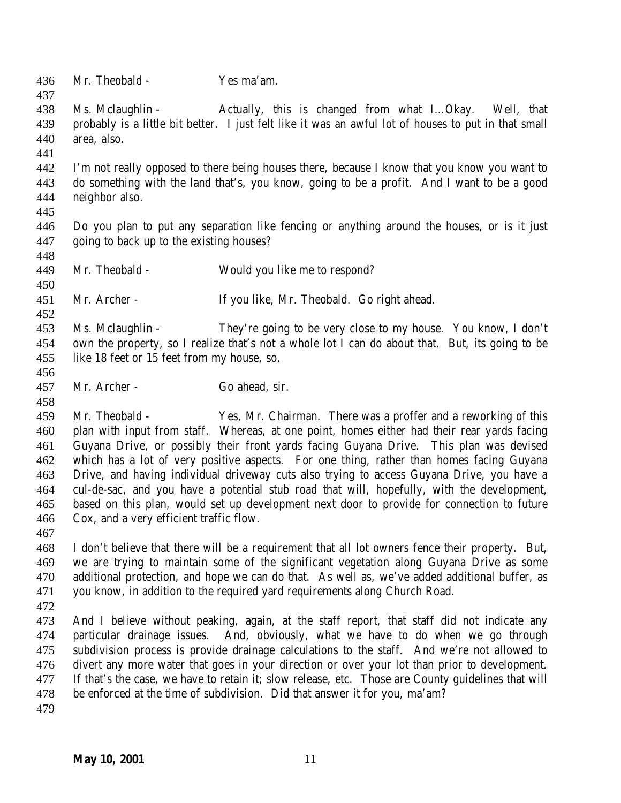Mr. Theobald - Yes ma'am. 438 Ms. Mclaughlin - Actually, this is changed from what I...Okay. Well, that probably is a little bit better. I just felt like it was an awful lot of houses to put in that small area, also. I'm not really opposed to there being houses there, because I know that you know you want to do something with the land that's, you know, going to be a profit. And I want to be a good neighbor also. Do you plan to put any separation like fencing or anything around the houses, or is it just going to back up to the existing houses? Mr. Theobald - Would you like me to respond? Mr. Archer - If you like, Mr. Theobald. Go right ahead. Ms. Mclaughlin - They're going to be very close to my house. You know, I don't own the property, so I realize that's not a whole lot I can do about that. But, its going to be like 18 feet or 15 feet from my house, so. Mr. Archer - Go ahead, sir. Mr. Theobald - Yes, Mr. Chairman. There was a proffer and a reworking of this plan with input from staff. Whereas, at one point, homes either had their rear yards facing Guyana Drive, or possibly their front yards facing Guyana Drive. This plan was devised which has a lot of very positive aspects. For one thing, rather than homes facing Guyana Drive, and having individual driveway cuts also trying to access Guyana Drive, you have a cul-de-sac, and you have a potential stub road that will, hopefully, with the development, based on this plan, would set up development next door to provide for connection to future Cox, and a very efficient traffic flow. I don't believe that there will be a requirement that all lot owners fence their property. But, we are trying to maintain some of the significant vegetation along Guyana Drive as some additional protection, and hope we can do that. As well as, we've added additional buffer, as you know, in addition to the required yard requirements along Church Road. And I believe without peaking, again, at the staff report, that staff did not indicate any particular drainage issues. And, obviously, what we have to do when we go through subdivision process is provide drainage calculations to the staff. And we're not allowed to divert any more water that goes in your direction or over your lot than prior to development. If that's the case, we have to retain it; slow release, etc. Those are County guidelines that will be enforced at the time of subdivision. Did that answer it for you, ma'am?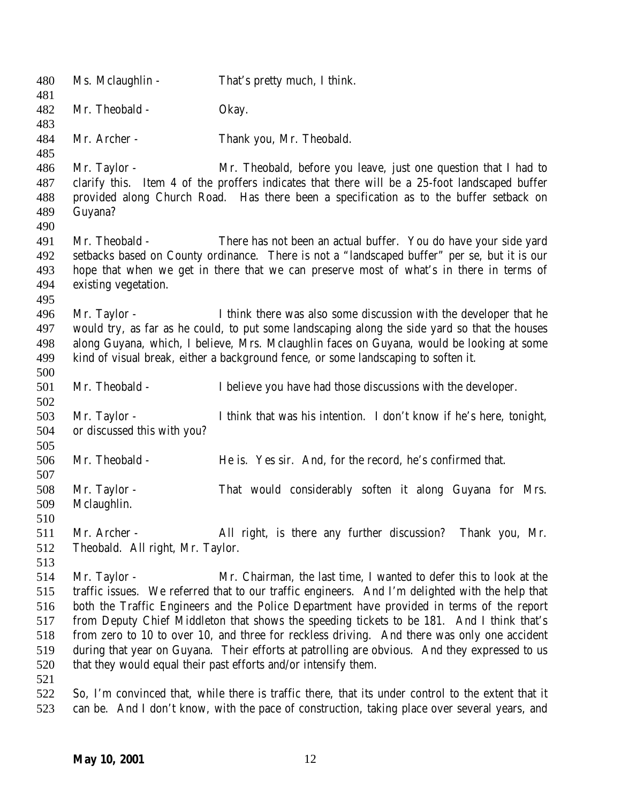Ms. Mclaughlin - That's pretty much, I think. Mr. Theobald - Okay. Mr. Archer - Thank you, Mr. Theobald. Mr. Taylor - Mr. Theobald, before you leave, just one question that I had to clarify this. Item 4 of the proffers indicates that there will be a 25-foot landscaped buffer provided along Church Road. Has there been a specification as to the buffer setback on Guyana? Mr. Theobald - There has not been an actual buffer. You do have your side yard setbacks based on County ordinance. There is not a "landscaped buffer" per se, but it is our hope that when we get in there that we can preserve most of what's in there in terms of existing vegetation. Mr. Taylor - I think there was also some discussion with the developer that he would try, as far as he could, to put some landscaping along the side yard so that the houses along Guyana, which, I believe, Mrs. Mclaughlin faces on Guyana, would be looking at some kind of visual break, either a background fence, or some landscaping to soften it. Mr. Theobald - I believe you have had those discussions with the developer. Mr. Taylor - I think that was his intention. I don't know if he's here, tonight, or discussed this with you? Mr. Theobald - He is. Yes sir. And, for the record, he's confirmed that. Mr. Taylor - That would considerably soften it along Guyana for Mrs. Mclaughlin. Mr. Archer - All right, is there any further discussion? Thank you, Mr. Theobald. All right, Mr. Taylor. Mr. Taylor - Mr. Chairman, the last time, I wanted to defer this to look at the traffic issues. We referred that to our traffic engineers. And I'm delighted with the help that both the Traffic Engineers and the Police Department have provided in terms of the report from Deputy Chief Middleton that shows the speeding tickets to be 181. And I think that's from zero to 10 to over 10, and three for reckless driving. And there was only one accident during that year on Guyana. Their efforts at patrolling are obvious. And they expressed to us that they would equal their past efforts and/or intensify them. So, I'm convinced that, while there is traffic there, that its under control to the extent that it can be. And I don't know, with the pace of construction, taking place over several years, and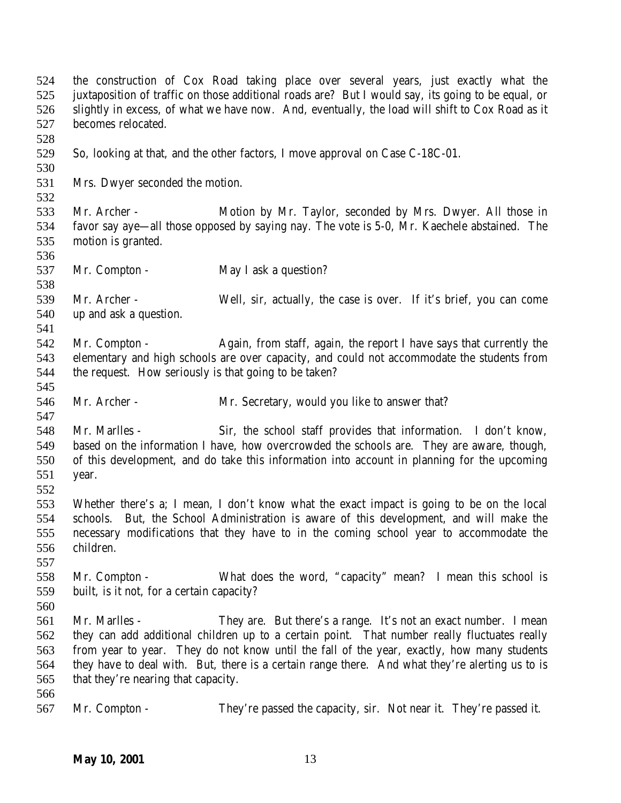the construction of Cox Road taking place over several years, just exactly what the juxtaposition of traffic on those additional roads are? But I would say, its going to be equal, or slightly in excess, of what we have now. And, eventually, the load will shift to Cox Road as it becomes relocated. So, looking at that, and the other factors, I move approval on Case C-18C-01. Mrs. Dwyer seconded the motion. Mr. Archer - Motion by Mr. Taylor, seconded by Mrs. Dwyer. All those in favor say aye—all those opposed by saying nay. The vote is 5-0, Mr. Kaechele abstained. The motion is granted. 537 Mr. Compton - May I ask a question? Mr. Archer - Well, sir, actually, the case is over. If it's brief, you can come up and ask a question. 542 Mr. Compton - Again, from staff, again, the report I have says that currently the elementary and high schools are over capacity, and could not accommodate the students from the request. How seriously is that going to be taken? Mr. Archer - Mr. Secretary, would you like to answer that? Mr. Marlles - Sir, the school staff provides that information. I don't know, based on the information I have, how overcrowded the schools are. They are aware, though, of this development, and do take this information into account in planning for the upcoming year. Whether there's a; I mean, I don't know what the exact impact is going to be on the local schools. But, the School Administration is aware of this development, and will make the necessary modifications that they have to in the coming school year to accommodate the children. Mr. Compton - What does the word, "capacity" mean? I mean this school is built, is it not, for a certain capacity? Mr. Marlles - They are. But there's a range. It's not an exact number. I mean they can add additional children up to a certain point. That number really fluctuates really from year to year. They do not know until the fall of the year, exactly, how many students they have to deal with. But, there is a certain range there. And what they're alerting us to is that they're nearing that capacity. Mr. Compton - They're passed the capacity, sir. Not near it. They're passed it.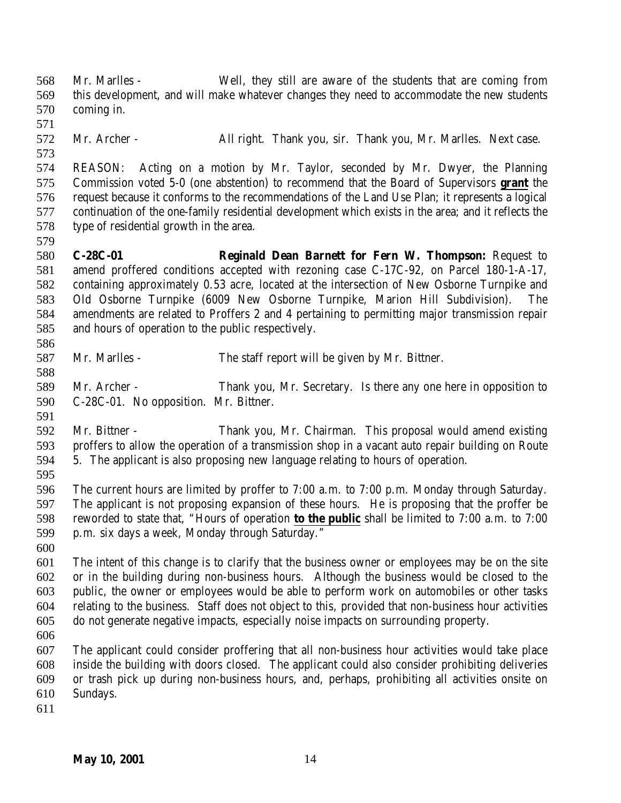Mr. Marlles - Well, they still are aware of the students that are coming from this development, and will make whatever changes they need to accommodate the new students coming in. Mr. Archer - All right. Thank you, sir. Thank you, Mr. Marlles. Next case. REASON: Acting on a motion by Mr. Taylor, seconded by Mr. Dwyer, the Planning Commission voted 5-0 (one abstention) to recommend that the Board of Supervisors **grant** the request because it conforms to the recommendations of the Land Use Plan; it represents a logical continuation of the one-family residential development which exists in the area; and it reflects the type of residential growth in the area. **C-28C-01 Reginald Dean Barnett for Fern W. Thompson:** Request to amend proffered conditions accepted with rezoning case C-17C-92, on Parcel 180-1-A-17, containing approximately 0.53 acre, located at the intersection of New Osborne Turnpike and Old Osborne Turnpike (6009 New Osborne Turnpike, Marion Hill Subdivision). The amendments are related to Proffers 2 and 4 pertaining to permitting major transmission repair and hours of operation to the public respectively. Mr. Marlles - The staff report will be given by Mr. Bittner. Mr. Archer - Thank you, Mr. Secretary. Is there any one here in opposition to C-28C-01. No opposition. Mr. Bittner. Mr. Bittner - Thank you, Mr. Chairman. This proposal would amend existing proffers to allow the operation of a transmission shop in a vacant auto repair building on Route 5. The applicant is also proposing new language relating to hours of operation. The current hours are limited by proffer to 7:00 a.m. to 7:00 p.m. Monday through Saturday. The applicant is not proposing expansion of these hours. He is proposing that the proffer be reworded to state that, "Hours of operation **to the public** shall be limited to 7:00 a.m. to 7:00 p.m. six days a week, Monday through Saturday." The intent of this change is to clarify that the business owner or employees may be on the site or in the building during non-business hours. Although the business would be closed to the public, the owner or employees would be able to perform work on automobiles or other tasks relating to the business. Staff does not object to this, provided that non-business hour activities do not generate negative impacts, especially noise impacts on surrounding property. The applicant could consider proffering that all non-business hour activities would take place inside the building with doors closed. The applicant could also consider prohibiting deliveries or trash pick up during non-business hours, and, perhaps, prohibiting all activities onsite on Sundays.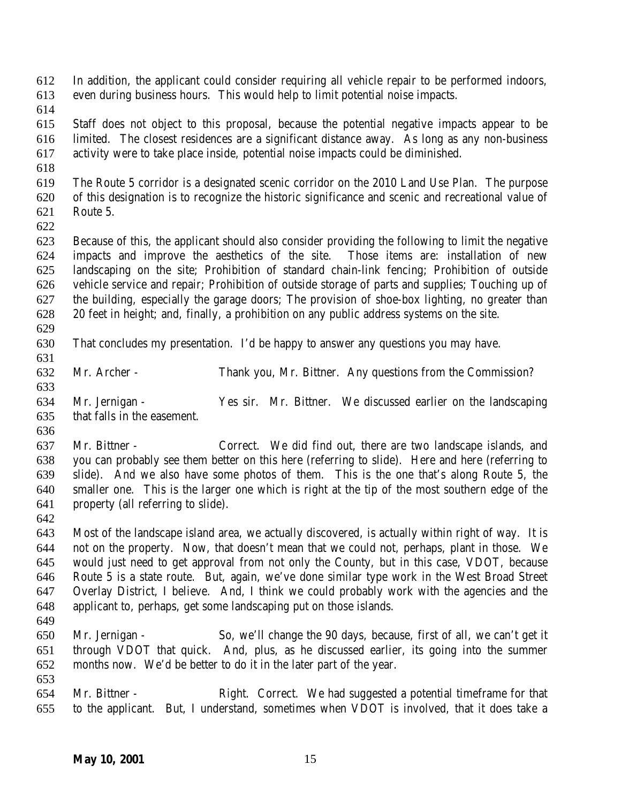In addition, the applicant could consider requiring all vehicle repair to be performed indoors, even during business hours. This would help to limit potential noise impacts.

 Staff does not object to this proposal, because the potential negative impacts appear to be limited. The closest residences are a significant distance away. As long as any non-business activity were to take place inside, potential noise impacts could be diminished.

 The Route 5 corridor is a designated scenic corridor on the 2010 Land Use Plan. The purpose of this designation is to recognize the historic significance and scenic and recreational value of Route 5.

 Because of this, the applicant should also consider providing the following to limit the negative impacts and improve the aesthetics of the site. Those items are: installation of new landscaping on the site; Prohibition of standard chain-link fencing; Prohibition of outside vehicle service and repair; Prohibition of outside storage of parts and supplies; Touching up of the building, especially the garage doors; The provision of shoe-box lighting, no greater than 20 feet in height; and, finally, a prohibition on any public address systems on the site.

That concludes my presentation. I'd be happy to answer any questions you may have.

Mr. Archer - Thank you, Mr. Bittner. Any questions from the Commission?

 Mr. Jernigan - Yes sir. Mr. Bittner. We discussed earlier on the landscaping that falls in the easement. 

 Mr. Bittner - Correct. We did find out, there are two landscape islands, and you can probably see them better on this here (referring to slide). Here and here (referring to slide). And we also have some photos of them. This is the one that's along Route 5, the smaller one. This is the larger one which is right at the tip of the most southern edge of the property (all referring to slide).

 Most of the landscape island area, we actually discovered, is actually within right of way. It is not on the property. Now, that doesn't mean that we could not, perhaps, plant in those. We would just need to get approval from not only the County, but in this case, VDOT, because Route 5 is a state route. But, again, we've done similar type work in the West Broad Street Overlay District, I believe. And, I think we could probably work with the agencies and the applicant to, perhaps, get some landscaping put on those islands.

 Mr. Jernigan - So, we'll change the 90 days, because, first of all, we can't get it through VDOT that quick. And, plus, as he discussed earlier, its going into the summer months now. We'd be better to do it in the later part of the year.

 Mr. Bittner - Right. Correct. We had suggested a potential timeframe for that to the applicant. But, I understand, sometimes when VDOT is involved, that it does take a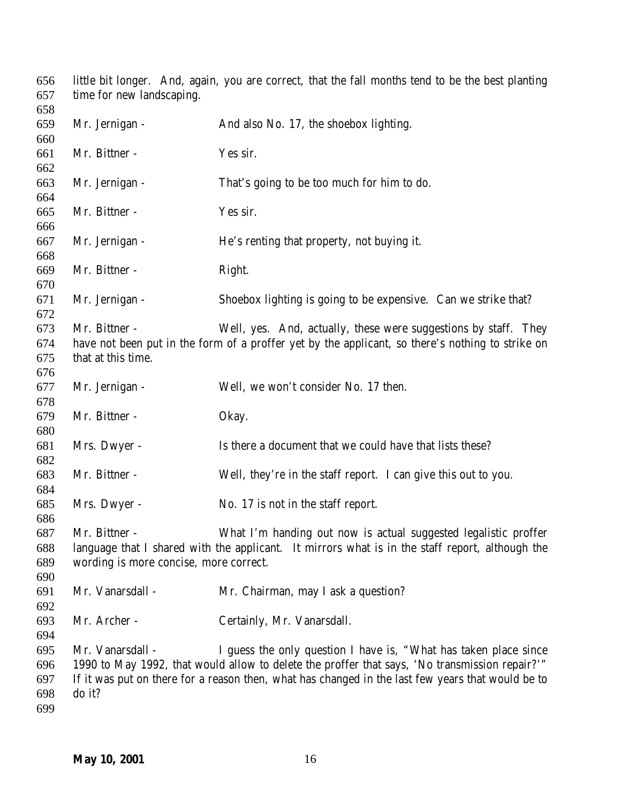little bit longer. And, again, you are correct, that the fall months tend to be the best planting time for new landscaping. Mr. Jernigan - And also No. 17, the shoebox lighting. Mr. Bittner - Yes sir. Mr. Jernigan - That's going to be too much for him to do. Mr. Bittner - Yes sir. Mr. Jernigan - He's renting that property, not buying it. Mr. Bittner - Right. Mr. Jernigan - Shoebox lighting is going to be expensive. Can we strike that? Mr. Bittner - Well, yes. And, actually, these were suggestions by staff. They have not been put in the form of a proffer yet by the applicant, so there's nothing to strike on that at this time. Mr. Jernigan - Well, we won't consider No. 17 then. Mr. Bittner - Okay. Mrs. Dwyer - Is there a document that we could have that lists these? Mr. Bittner - Well, they're in the staff report. I can give this out to you. Mrs. Dwyer - No. 17 is not in the staff report. Mr. Bittner - What I'm handing out now is actual suggested legalistic proffer language that I shared with the applicant. It mirrors what is in the staff report, although the wording is more concise, more correct. Mr. Vanarsdall - Mr. Chairman, may I ask a question? Mr. Archer - Certainly, Mr. Vanarsdall. Mr. Vanarsdall - I guess the only question I have is, "What has taken place since 1990 to May 1992, that would allow to delete the proffer that says, 'No transmission repair?'" If it was put on there for a reason then, what has changed in the last few years that would be to do it?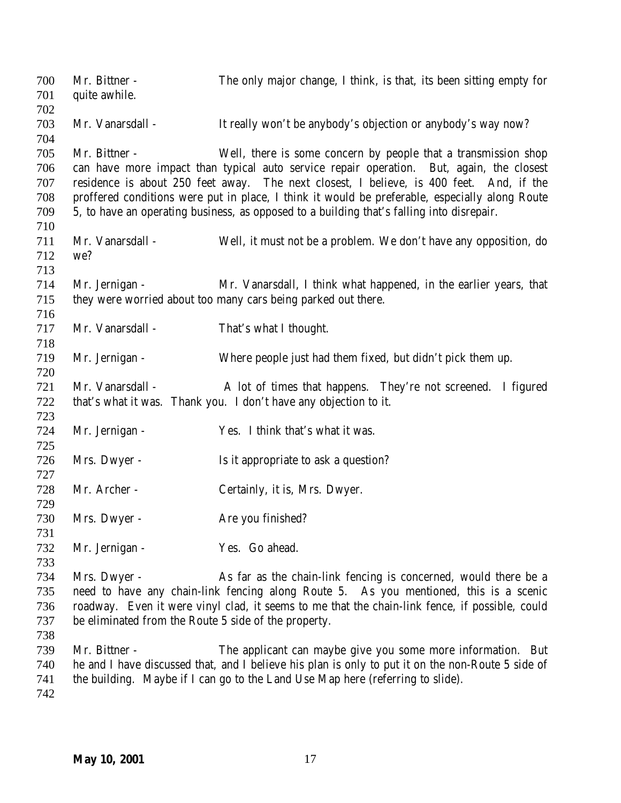| 700<br>701 | Mr. Bittner -<br>quite awhile.                       | The only major change, I think, is that, its been sitting empty for                               |
|------------|------------------------------------------------------|---------------------------------------------------------------------------------------------------|
| 702        |                                                      |                                                                                                   |
| 703        | Mr. Vanarsdall -                                     | It really won't be anybody's objection or anybody's way now?                                      |
| 704        |                                                      |                                                                                                   |
| 705        | Mr. Bittner -                                        | Well, there is some concern by people that a transmission shop                                    |
| 706        |                                                      | can have more impact than typical auto service repair operation. But, again, the closest          |
| 707        |                                                      | residence is about 250 feet away. The next closest, I believe, is 400 feet. And, if the           |
| 708        |                                                      | proffered conditions were put in place, I think it would be preferable, especially along Route    |
| 709        |                                                      | 5, to have an operating business, as opposed to a building that's falling into disrepair.         |
| 710        |                                                      |                                                                                                   |
| 711        | Mr. Vanarsdall -                                     | Well, it must not be a problem. We don't have any opposition, do                                  |
| 712        | we?                                                  |                                                                                                   |
| 713        |                                                      |                                                                                                   |
| 714        | Mr. Jernigan -                                       | Mr. Vanarsdall, I think what happened, in the earlier years, that                                 |
| 715        |                                                      | they were worried about too many cars being parked out there.                                     |
| 716        |                                                      |                                                                                                   |
| 717        | Mr. Vanarsdall -                                     | That's what I thought.                                                                            |
| 718        |                                                      |                                                                                                   |
| 719        | Mr. Jernigan -                                       | Where people just had them fixed, but didn't pick them up.                                        |
| 720        |                                                      |                                                                                                   |
| 721        | Mr. Vanarsdall -                                     | A lot of times that happens. They're not screened. I figured                                      |
| 722        |                                                      | that's what it was. Thank you. I don't have any objection to it.                                  |
| 723        |                                                      |                                                                                                   |
| 724        | Mr. Jernigan -                                       | Yes. I think that's what it was.                                                                  |
| 725        |                                                      |                                                                                                   |
| 726        | Mrs. Dwyer -                                         | Is it appropriate to ask a question?                                                              |
| 727        |                                                      |                                                                                                   |
| 728        | Mr. Archer -                                         | Certainly, it is, Mrs. Dwyer.                                                                     |
| 729        |                                                      |                                                                                                   |
| 730        | Mrs. Dwyer -                                         | Are you finished?                                                                                 |
| 731        |                                                      |                                                                                                   |
| 732        | Mr. Jernigan -                                       | Yes. Go ahead.                                                                                    |
| 733        |                                                      |                                                                                                   |
| 734        | Mrs. Dwyer -                                         | As far as the chain-link fencing is concerned, would there be a                                   |
| 735        |                                                      | need to have any chain-link fencing along Route 5. As you mentioned, this is a scenic             |
| 736        |                                                      | roadway. Even it were vinyl clad, it seems to me that the chain-link fence, if possible, could    |
| 737        | be eliminated from the Route 5 side of the property. |                                                                                                   |
| 738        |                                                      |                                                                                                   |
| 739        | Mr. Bittner -                                        | The applicant can maybe give you some more information. But                                       |
| 740        |                                                      | he and I have discussed that, and I believe his plan is only to put it on the non-Route 5 side of |
| 741        |                                                      | the building. Maybe if I can go to the Land Use Map here (referring to slide).                    |
| 742        |                                                      |                                                                                                   |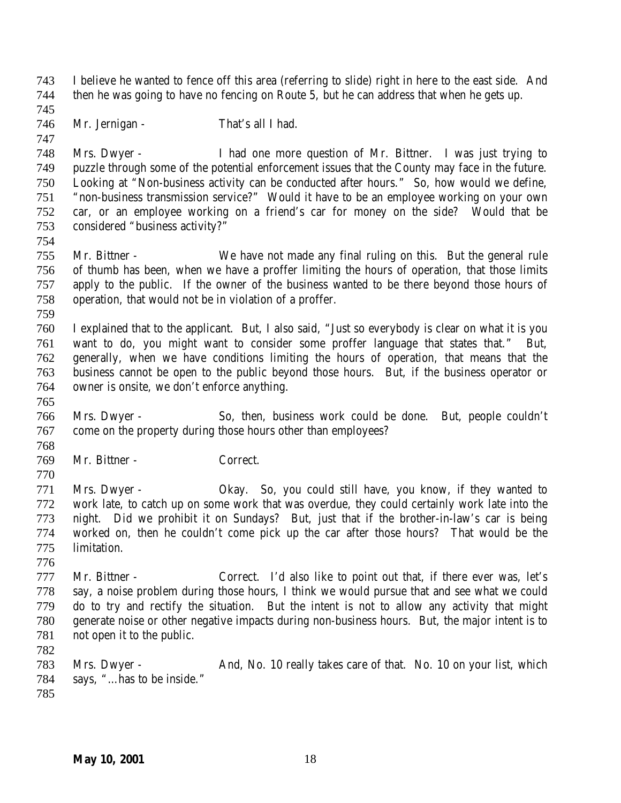I believe he wanted to fence off this area (referring to slide) right in here to the east side. And then he was going to have no fencing on Route 5, but he can address that when he gets up. 746 Mr. Jernigan - That's all I had. Mrs. Dwyer - I had one more question of Mr. Bittner. I was just trying to puzzle through some of the potential enforcement issues that the County may face in the future. Looking at "Non-business activity can be conducted after hours." So, how would we define, "non-business transmission service?" Would it have to be an employee working on your own car, or an employee working on a friend's car for money on the side? Would that be considered "business activity?" Mr. Bittner - We have not made any final ruling on this. But the general rule of thumb has been, when we have a proffer limiting the hours of operation, that those limits apply to the public. If the owner of the business wanted to be there beyond those hours of operation, that would not be in violation of a proffer. I explained that to the applicant. But, I also said, "Just so everybody is clear on what it is you want to do, you might want to consider some proffer language that states that." But, generally, when we have conditions limiting the hours of operation, that means that the business cannot be open to the public beyond those hours. But, if the business operator or owner is onsite, we don't enforce anything. Mrs. Dwyer - So, then, business work could be done. But, people couldn't come on the property during those hours other than employees? Mr. Bittner - Correct. Mrs. Dwyer - Okay. So, you could still have, you know, if they wanted to work late, to catch up on some work that was overdue, they could certainly work late into the night. Did we prohibit it on Sundays? But, just that if the brother-in-law's car is being worked on, then he couldn't come pick up the car after those hours? That would be the limitation. Mr. Bittner - Correct. I'd also like to point out that, if there ever was, let's say, a noise problem during those hours, I think we would pursue that and see what we could do to try and rectify the situation. But the intent is not to allow any activity that might generate noise or other negative impacts during non-business hours. But, the major intent is to not open it to the public. Mrs. Dwyer - And, No. 10 really takes care of that. No. 10 on your list, which 784 says, "...has to be inside."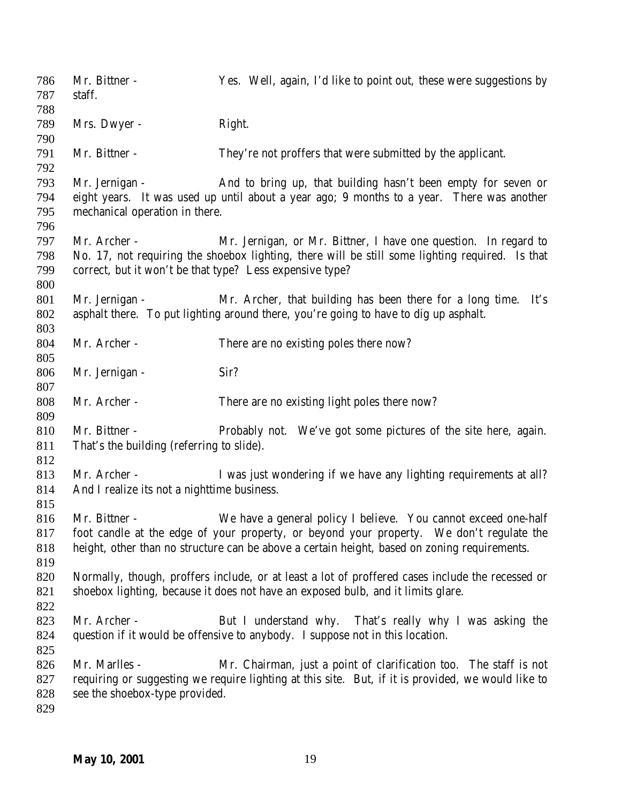| 786<br>787 | Mr. Bittner -<br>staff.                                  | Yes. Well, again, I'd like to point out, these were suggestions by                                                                                         |
|------------|----------------------------------------------------------|------------------------------------------------------------------------------------------------------------------------------------------------------------|
| 788        |                                                          |                                                                                                                                                            |
| 789<br>790 | Mrs. Dwyer -                                             | Right.                                                                                                                                                     |
| 791        | Mr. Bittner -                                            | They're not proffers that were submitted by the applicant.                                                                                                 |
| 792        |                                                          |                                                                                                                                                            |
| 793<br>794 | Mr. Jernigan -                                           | And to bring up, that building hasn't been empty for seven or<br>eight years. It was used up until about a year ago; 9 months to a year. There was another |
| 795        | mechanical operation in there.                           |                                                                                                                                                            |
| 796        |                                                          |                                                                                                                                                            |
| 797        | Mr. Archer -                                             | Mr. Jernigan, or Mr. Bittner, I have one question. In regard to                                                                                            |
| 798        |                                                          | No. 17, not requiring the shoebox lighting, there will be still some lighting required. Is that                                                            |
| 799        | correct, but it won't be that type? Less expensive type? |                                                                                                                                                            |
| 800        |                                                          |                                                                                                                                                            |
| 801        | Mr. Jernigan -                                           | Mr. Archer, that building has been there for a long time. It's                                                                                             |
| 802        |                                                          | asphalt there. To put lighting around there, you're going to have to dig up asphalt.                                                                       |
| 803        |                                                          |                                                                                                                                                            |
| 804        | Mr. Archer -                                             | There are no existing poles there now?                                                                                                                     |
| 805        |                                                          |                                                                                                                                                            |
| 806        | Mr. Jernigan -                                           | Sir?                                                                                                                                                       |
| 807        |                                                          |                                                                                                                                                            |
| 808        | Mr. Archer -                                             | There are no existing light poles there now?                                                                                                               |
| 809        |                                                          |                                                                                                                                                            |
| 810        | Mr. Bittner -                                            | Probably not. We've got some pictures of the site here, again.                                                                                             |
| 811        | That's the building (referring to slide).                |                                                                                                                                                            |
| 812        |                                                          |                                                                                                                                                            |
| 813        | Mr. Archer -                                             | I was just wondering if we have any lighting requirements at all?                                                                                          |
| 814<br>815 | And I realize its not a nighttime business.              |                                                                                                                                                            |
| 816        | Mr. Bittner -                                            | We have a general policy I believe. You cannot exceed one-half                                                                                             |
| 817        |                                                          | foot candle at the edge of your property, or beyond your property. We don't regulate the                                                                   |
| 818        |                                                          | height, other than no structure can be above a certain height, based on zoning requirements.                                                               |
| 819        |                                                          |                                                                                                                                                            |
| 820        |                                                          | Normally, though, proffers include, or at least a lot of proffered cases include the recessed or                                                           |
| 821        |                                                          | shoebox lighting, because it does not have an exposed bulb, and it limits glare.                                                                           |
| 822        |                                                          |                                                                                                                                                            |
| 823        | Mr. Archer -                                             | But I understand why. That's really why I was asking the                                                                                                   |
| 824        |                                                          | question if it would be offensive to anybody. I suppose not in this location.                                                                              |
| 825        |                                                          |                                                                                                                                                            |
| 826        | Mr. Marlles -                                            | Mr. Chairman, just a point of clarification too. The staff is not                                                                                          |
| 827        |                                                          | requiring or suggesting we require lighting at this site. But, if it is provided, we would like to                                                         |
| 828        | see the shoebox-type provided.                           |                                                                                                                                                            |
| 829        |                                                          |                                                                                                                                                            |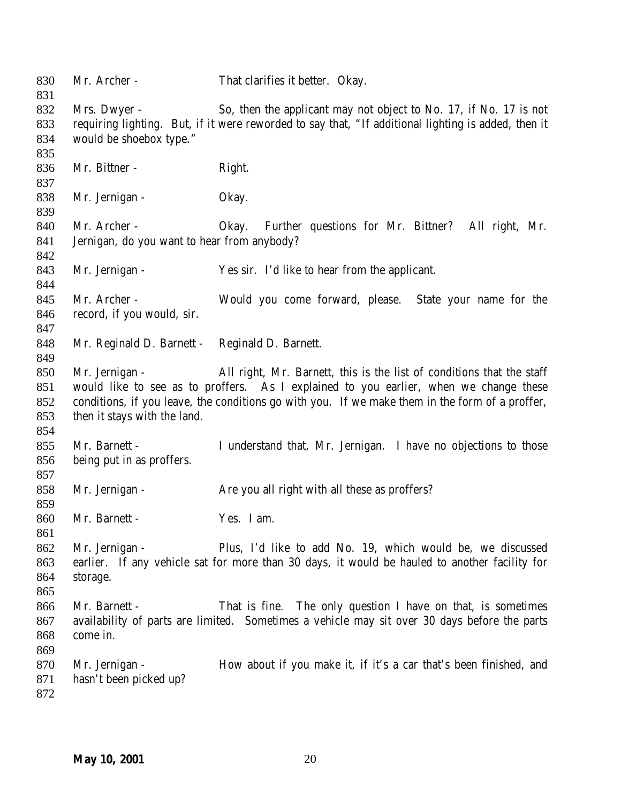Mr. Archer - That clarifies it better. Okay. Mrs. Dwyer - So, then the applicant may not object to No. 17, if No. 17 is not requiring lighting. But, if it were reworded to say that, "If additional lighting is added, then it would be shoebox type." 836 Mr. Bittner - Right. Mr. Jernigan - Okay. Mr. Archer - Okay. Further questions for Mr. Bittner? All right, Mr. Jernigan, do you want to hear from anybody? Mr. Jernigan - Yes sir. I'd like to hear from the applicant. Mr. Archer - Would you come forward, please. State your name for the record, if you would, sir. Mr. Reginald D. Barnett - Reginald D. Barnett. Mr. Jernigan - All right, Mr. Barnett, this is the list of conditions that the staff would like to see as to proffers. As I explained to you earlier, when we change these conditions, if you leave, the conditions go with you. If we make them in the form of a proffer, then it stays with the land. Mr. Barnett - I understand that, Mr. Jernigan. I have no objections to those being put in as proffers. 858 Mr. Jernigan - Are you all right with all these as proffers? Mr. Barnett - Yes. I am. Mr. Jernigan - Plus, I'd like to add No. 19, which would be, we discussed earlier. If any vehicle sat for more than 30 days, it would be hauled to another facility for storage. Mr. Barnett - That is fine. The only question I have on that, is sometimes availability of parts are limited. Sometimes a vehicle may sit over 30 days before the parts come in. 870 Mr. Jernigan - How about if you make it, if it's a car that's been finished, and hasn't been picked up?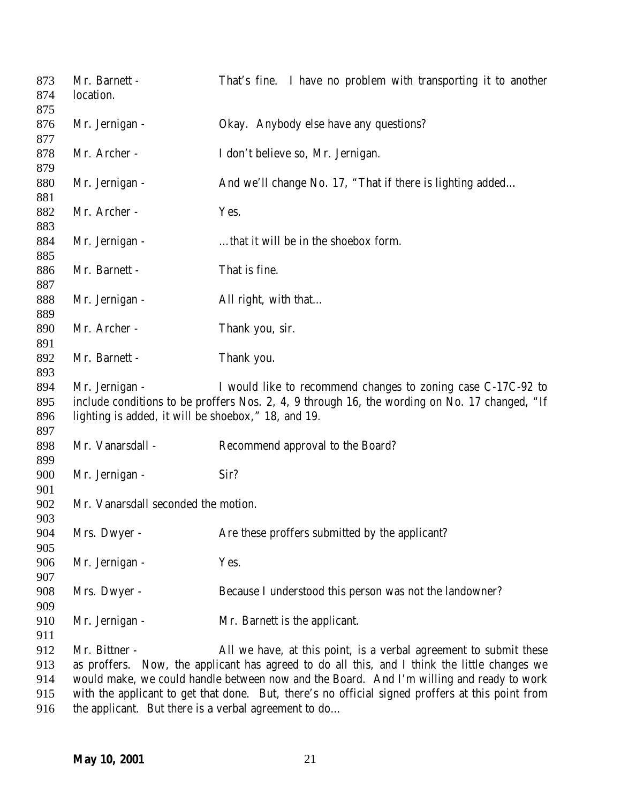| 873<br>874 | Mr. Barnett -<br>location.                           | That's fine. I have no problem with transporting it to another                                   |
|------------|------------------------------------------------------|--------------------------------------------------------------------------------------------------|
| 875<br>876 | Mr. Jernigan -                                       | Okay. Anybody else have any questions?                                                           |
| 877        |                                                      |                                                                                                  |
| 878        | Mr. Archer -                                         | I don't believe so, Mr. Jernigan.                                                                |
| 879        |                                                      |                                                                                                  |
| 880        | Mr. Jernigan -                                       | And we'll change No. 17, "That if there is lighting added                                        |
| 881        |                                                      |                                                                                                  |
| 882        | Mr. Archer -                                         | Yes.                                                                                             |
| 883        |                                                      |                                                                                                  |
| 884        | Mr. Jernigan -                                       | that it will be in the shoebox form.                                                             |
| 885        |                                                      |                                                                                                  |
| 886        | Mr. Barnett -                                        | That is fine.                                                                                    |
| 887        |                                                      |                                                                                                  |
| 888        | Mr. Jernigan -                                       | All right, with that                                                                             |
| 889        |                                                      |                                                                                                  |
| 890        | Mr. Archer -                                         | Thank you, sir.                                                                                  |
| 891        |                                                      |                                                                                                  |
| 892        | Mr. Barnett -                                        | Thank you.                                                                                       |
| 893        |                                                      |                                                                                                  |
| 894        | Mr. Jernigan -                                       | I would like to recommend changes to zoning case C-17C-92 to                                     |
| 895        |                                                      | include conditions to be proffers Nos. 2, 4, 9 through 16, the wording on No. 17 changed, "If    |
| 896        | lighting is added, it will be shoebox," 18, and 19.  |                                                                                                  |
| 897        |                                                      |                                                                                                  |
| 898        | Mr. Vanarsdall -                                     | Recommend approval to the Board?                                                                 |
| 899        |                                                      |                                                                                                  |
| 900        | Mr. Jernigan -                                       | Sir?                                                                                             |
| 901        |                                                      |                                                                                                  |
| 902        | Mr. Vanarsdall seconded the motion.                  |                                                                                                  |
| 903        |                                                      |                                                                                                  |
| 904        | Mrs. Dwyer -                                         | Are these proffers submitted by the applicant?                                                   |
| 905        |                                                      |                                                                                                  |
| 906        | Mr. Jernigan -                                       | Yes.                                                                                             |
| 907        |                                                      |                                                                                                  |
| 908        | Mrs. Dwyer -                                         | Because I understood this person was not the landowner?                                          |
| 909        |                                                      |                                                                                                  |
| 910        | Mr. Jernigan -                                       | Mr. Barnett is the applicant.                                                                    |
| 911        |                                                      |                                                                                                  |
| 912        | Mr. Bittner -                                        | All we have, at this point, is a verbal agreement to submit these                                |
| 913        |                                                      | as proffers. Now, the applicant has agreed to do all this, and I think the little changes we     |
| 914        |                                                      | would make, we could handle between now and the Board. And I'm willing and ready to work         |
| 915        |                                                      | with the applicant to get that done. But, there's no official signed proffers at this point from |
| 916        | the applicant. But there is a verbal agreement to do |                                                                                                  |